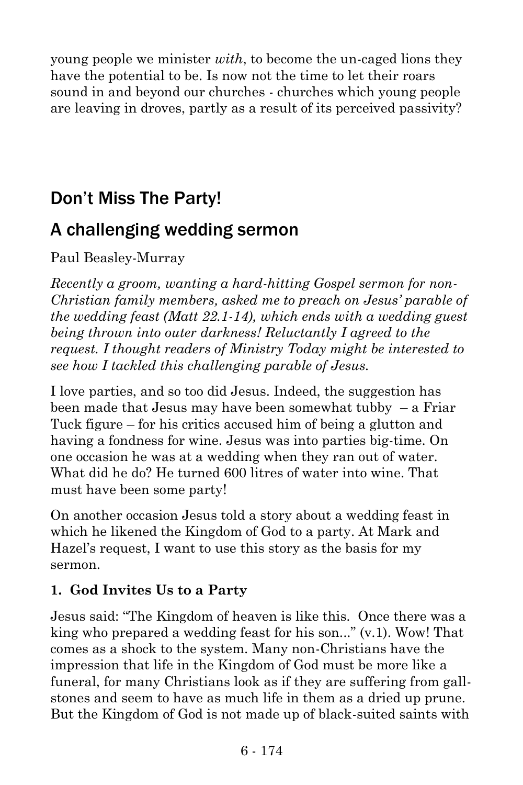young people we minister *with*, to become the un-caged lions they have the potential to be. Is now not the time to let their roars sound in and beyond our churches - churches which young people are leaving in droves, partly as a result of its perceived passivity?

# Don't Miss The Party!

## A challenging wedding sermon

Paul Beasley-Murray

*Recently a groom, wanting a hard-hitting Gospel sermon for non-Christian family members, asked me to preach on Jesus' parable of the wedding feast (Matt 22.1-14), which ends with a wedding guest being thrown into outer darkness! Reluctantly I agreed to the request. I thought readers of Ministry Today might be interested to see how I tackled this challenging parable of Jesus.*

I love parties, and so too did Jesus. Indeed, the suggestion has been made that Jesus may have been somewhat tubby – a Friar Tuck figure – for his critics accused him of being a glutton and having a fondness for wine. Jesus was into parties big-time. On one occasion he was at a wedding when they ran out of water. What did he do? He turned 600 litres of water into wine. That must have been some party!

On another occasion Jesus told a story about a wedding feast in which he likened the Kingdom of God to a party. At Mark and Hazel's request, I want to use this story as the basis for my sermon.

#### **1. God Invites Us to a Party**

Jesus said: "The Kingdom of heaven is like this. Once there was a king who prepared a wedding feast for his son..." (v.1). Wow! That comes as a shock to the system. Many non-Christians have the impression that life in the Kingdom of God must be more like a funeral, for many Christians look as if they are suffering from gallstones and seem to have as much life in them as a dried up prune. But the Kingdom of God is not made up of black-suited saints with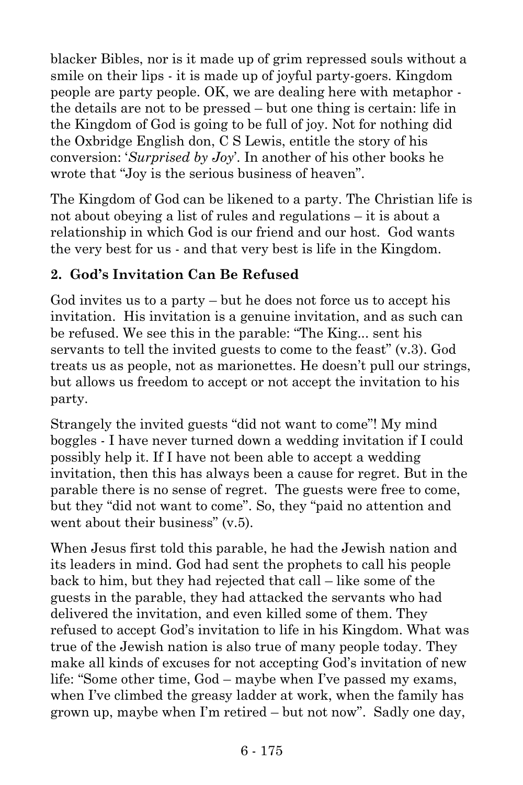blacker Bibles, nor is it made up of grim repressed souls without a smile on their lips - it is made up of joyful party-goers. Kingdom people are party people. OK, we are dealing here with metaphor the details are not to be pressed – but one thing is certain: life in the Kingdom of God is going to be full of joy. Not for nothing did the Oxbridge English don, C S Lewis, entitle the story of his conversion: '*Surprised by Joy*'. In another of his other books he wrote that "Joy is the serious business of heaven".

The Kingdom of God can be likened to a party. The Christian life is not about obeying a list of rules and regulations – it is about a relationship in which God is our friend and our host. God wants the very best for us - and that very best is life in the Kingdom.

#### **2. God's Invitation Can Be Refused**

God invites us to a party – but he does not force us to accept his invitation. His invitation is a genuine invitation, and as such can be refused. We see this in the parable: "The King... sent his servants to tell the invited guests to come to the feast" (v.3). God treats us as people, not as marionettes. He doesn't pull our strings, but allows us freedom to accept or not accept the invitation to his party.

Strangely the invited guests "did not want to come"! My mind boggles - I have never turned down a wedding invitation if I could possibly help it. If I have not been able to accept a wedding invitation, then this has always been a cause for regret. But in the parable there is no sense of regret. The guests were free to come, but they "did not want to come". So, they "paid no attention and went about their business"  $(v, 5)$ .

When Jesus first told this parable, he had the Jewish nation and its leaders in mind. God had sent the prophets to call his people back to him, but they had rejected that call – like some of the guests in the parable, they had attacked the servants who had delivered the invitation, and even killed some of them. They refused to accept God's invitation to life in his Kingdom. What was true of the Jewish nation is also true of many people today. They make all kinds of excuses for not accepting God's invitation of new life: "Some other time, God – maybe when I've passed my exams, when I've climbed the greasy ladder at work, when the family has grown up, maybe when I'm retired – but not now". Sadly one day,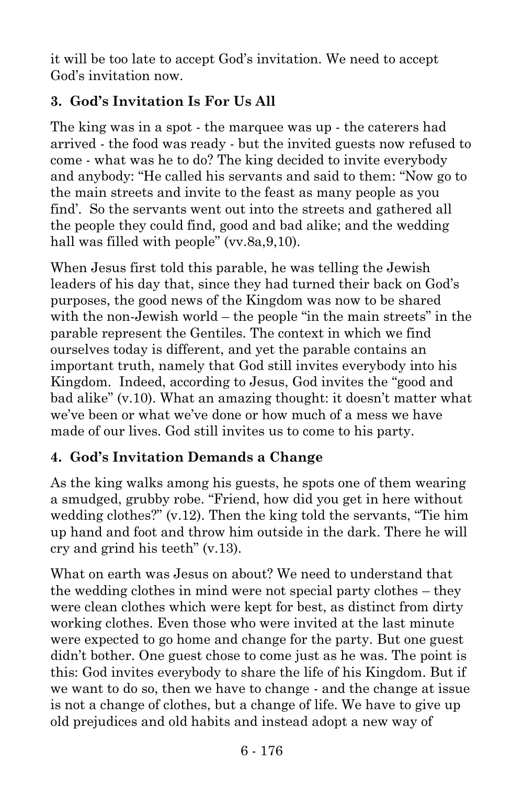it will be too late to accept God's invitation. We need to accept God's invitation now.

### **3. God's Invitation Is For Us All**

The king was in a spot - the marquee was up - the caterers had arrived - the food was ready - but the invited guests now refused to come - what was he to do? The king decided to invite everybody and anybody: "He called his servants and said to them: "Now go to the main streets and invite to the feast as many people as you find'. So the servants went out into the streets and gathered all the people they could find, good and bad alike; and the wedding hall was filled with people" (vv.8a,9,10).

When Jesus first told this parable, he was telling the Jewish leaders of his day that, since they had turned their back on God's purposes, the good news of the Kingdom was now to be shared with the non-Jewish world – the people "in the main streets" in the parable represent the Gentiles. The context in which we find ourselves today is different, and yet the parable contains an important truth, namely that God still invites everybody into his Kingdom. Indeed, according to Jesus, God invites the "good and bad alike" (v.10). What an amazing thought: it doesn't matter what we've been or what we've done or how much of a mess we have made of our lives. God still invites us to come to his party.

#### **4. God's Invitation Demands a Change**

As the king walks among his guests, he spots one of them wearing a smudged, grubby robe. "Friend, how did you get in here without wedding clothes?" (v.12). Then the king told the servants, "Tie him up hand and foot and throw him outside in the dark. There he will cry and grind his teeth" (v.13).

What on earth was Jesus on about? We need to understand that the wedding clothes in mind were not special party clothes – they were clean clothes which were kept for best, as distinct from dirty working clothes. Even those who were invited at the last minute were expected to go home and change for the party. But one guest didn't bother. One guest chose to come just as he was. The point is this: God invites everybody to share the life of his Kingdom. But if we want to do so, then we have to change - and the change at issue is not a change of clothes, but a change of life. We have to give up old prejudices and old habits and instead adopt a new way of